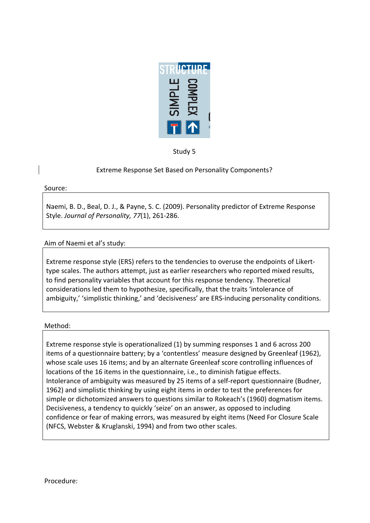

Study 5

# Extreme Response Set Based on Personality Components?

Source:

Naemi, B. D., Beal, D. J., & Payne, S. C. (2009). Personality predictor of Extreme Response Style. *Journal of Personality*, 77(1), 261-286.

# Aim of Naemi et al's study:

Extreme response style (ERS) refers to the tendencies to overuse the endpoints of Likerttype scales. The authors attempt, just as earlier researchers who reported mixed results, to find personality variables that account for this response tendency. Theoretical considerations led them to hypothesize, specifically, that the traits 'intolerance of ambiguity,' 'simplistic thinking,' and 'decisiveness' are ERS-inducing personality conditions.

#### Method:

Extreme response style is operationalized (1) by summing responses 1 and 6 across 200 items of a questionnaire battery; by a 'contentless' measure designed by Greenleaf (1962), whose scale uses 16 items; and by an alternate Greenleaf score controlling influences of locations of the 16 items in the questionnaire, i.e., to diminish fatigue effects. Intolerance of ambiguity was measured by 25 items of a self-report questionnaire (Budner, 1962) and simplistic thinking by using eight items in order to test the preferences for simple or dichotomized answers to questions similar to Rokeach's (1960) dogmatism items. Decisiveness, a tendency to quickly 'seize' on an answer, as opposed to including confidence or fear of making errors, was measured by eight items (Need For Closure Scale (NFCS, Webster & Kruglanski, 1994) and from two other scales.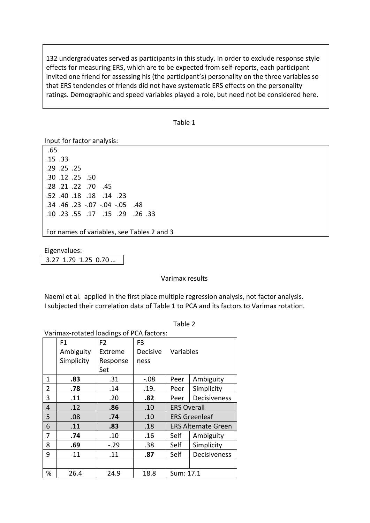132 undergraduates served as participants in this study. In order to exclude response style effects for measuring ERS, which are to be expected from self-reports, each participant invited one friend for assessing his (the participant's) personality on the three variables so that ERS tendencies of friends did not have systematic ERS effects on the personality ratings. Demographic and speed variables played a role, but need not be considered here.

| I)<br>п |
|---------|
|---------|

Input for factor analysis:

.65  $.15.33$ .29 .25 .25 .30 .12 .25 .50 .28. 70. 22. 21. 28. .52. 40. 18. 18. 52. .34. 0.07 -.04 -.05 .48 .10.33 .55 .17 .15 .29 .26 .33

For names of variables, see Tables 2 and 3

Eigenvalues: 3.27 1.79 1.25 0.70 ...

Varimax results

Naemi et al. applied in the first place multiple regression analysis, not factor analysis. I subjected their correlation data of Table 1 to PCA and its factors to Varimax rotation.

|  | anie |  |
|--|------|--|
|--|------|--|

#### Varimax-rotated loadings of PCA factors:

|   | F1         | F <sub>2</sub> | F3       |                            |              |
|---|------------|----------------|----------|----------------------------|--------------|
|   | Ambiguity  | Extreme        | Decisive | Variables                  |              |
|   | Simplicity | Response       | ness     |                            |              |
|   |            | Set            |          |                            |              |
| 1 | .83        | .31            | $-.08$   | Peer                       | Ambiguity    |
| 2 | .78        | .14            | .19.     | Peer                       | Simplicity   |
| 3 | .11        | .20            | .82      | Peer                       | Decisiveness |
| 4 | .12        | .86            | .10      | <b>ERS Overall</b>         |              |
| 5 | .08        | .74            | .10      | <b>ERS Greenleaf</b>       |              |
| 6 | .11        | .83            | .18      | <b>ERS Alternate Green</b> |              |
| 7 | .74        | .10            | .16      | Self                       | Ambiguity    |
| 8 | .69        | $-.29$         | .38      | Self                       | Simplicity   |
| 9 | $-11$      | .11            | .87      | Self                       | Decisiveness |
|   |            |                |          |                            |              |
| % | 26.4       | 24.9           | 18.8     | Sum: 17.1                  |              |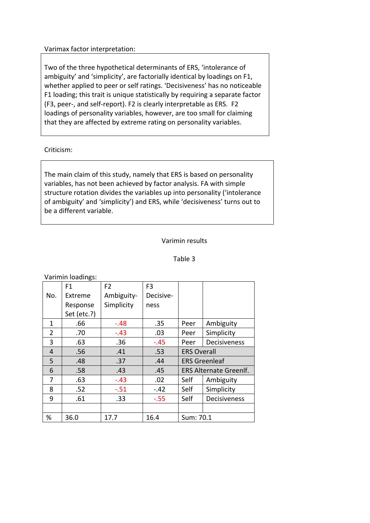### Varimax factor interpretation:

Two of the three hypothetical determinants of ERS, 'intolerance of ambiguity' and 'simplicity', are factorially identical by loadings on F1, whether applied to peer or self ratings. 'Decisiveness' has no noticeable F1 loading; this trait is unique statistically by requiring a separate factor (F3, peer-, and self-report). F2 is clearly interpretable as ERS. F2 loadings of personality variables, however, are too small for claiming that they are affected by extreme rating on personality variables.

# Criticism:

The main claim of this study, namely that ERS is based on personality variables, has not been achieved by factor analysis. FA with simple structure rotation divides the variables up into personality ('intolerance of ambiguity' and 'simplicity') and ERS, while 'decisiveness' turns out to be a different variable.

# Varimin results

# Table 3

#### Varimin loadings:

|     | F1          | F <sub>2</sub> | F <sub>3</sub> |                               |              |
|-----|-------------|----------------|----------------|-------------------------------|--------------|
| No. | Extreme     | Ambiguity-     | Decisive-      |                               |              |
|     | Response    | Simplicity     | ness           |                               |              |
|     | Set (etc.?) |                |                |                               |              |
| 1   | .66         | $-.48$         | .35            | Peer                          | Ambiguity    |
| 2   | .70         | $-.43$         | .03            | Peer                          | Simplicity   |
| 3   | .63         | .36            | $-.45$         | Peer                          | Decisiveness |
| 4   | .56         | .41            | .53            | <b>ERS Overall</b>            |              |
| 5   | .48         | .37            | .44            | <b>ERS Greenleaf</b>          |              |
| 6   | .58         | .43            | .45            | <b>ERS Alternate Greenlf.</b> |              |
| 7   | .63         | $-.43$         | .02            | Self                          | Ambiguity    |
| 8   | .52         | $-.51$         | $-.42$         | Self                          | Simplicity   |
| 9   | .61         | .33            | $-0.55$        | Self                          | Decisiveness |
|     |             |                |                |                               |              |
| %   | 36.0        | 17.7           | 16.4           | Sum: 70.1                     |              |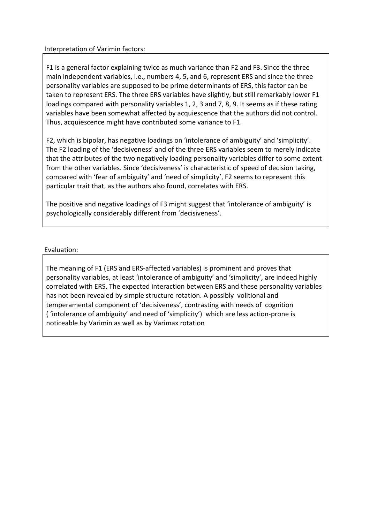### Interpretation of Varimin factors:

F1 is a general factor explaining twice as much variance than F2 and F3. Since the three main independent variables, i.e., numbers 4, 5, and 6, represent ERS and since the three personality variables are supposed to be prime determinants of ERS, this factor can be taken to represent ERS. The three ERS variables have slightly, but still remarkably lower F1 loadings compared with personality variables 1, 2, 3 and 7, 8, 9. It seems as if these rating variables have been somewhat affected by acquiescence that the authors did not control. Thus, acquiescence might have contributed some variance to F1.

F2, which is bipolar, has negative loadings on 'intolerance of ambiguity' and 'simplicity'. The F2 loading of the 'decisiveness' and of the three ERS variables seem to merely indicate that the attributes of the two negatively loading personality variables differ to some extent from the other variables. Since 'decisiveness' is characteristic of speed of decision taking, compared with 'fear of ambiguity' and 'need of simplicity', F2 seems to represent this particular trait that, as the authors also found, correlates with ERS.

The positive and negative loadings of F3 might suggest that 'intolerance of ambiguity' is psychologically considerably different from 'decisiveness'.

# Evaluation:

The meaning of F1 (ERS and ERS-affected variables) is prominent and proves that personality variables, at least 'intolerance of ambiguity' and 'simplicity', are indeed highly correlated with ERS. The expected interaction between ERS and these personality variables has not been revealed by simple structure rotation. A possibly volitional and temperamental component of 'decisiveness', contrasting with needs of cognition ("intolerance of ambiguity' and need of 'simplicity') which are less action-prone is noticeable by Varimin as well as by Varimax rotation